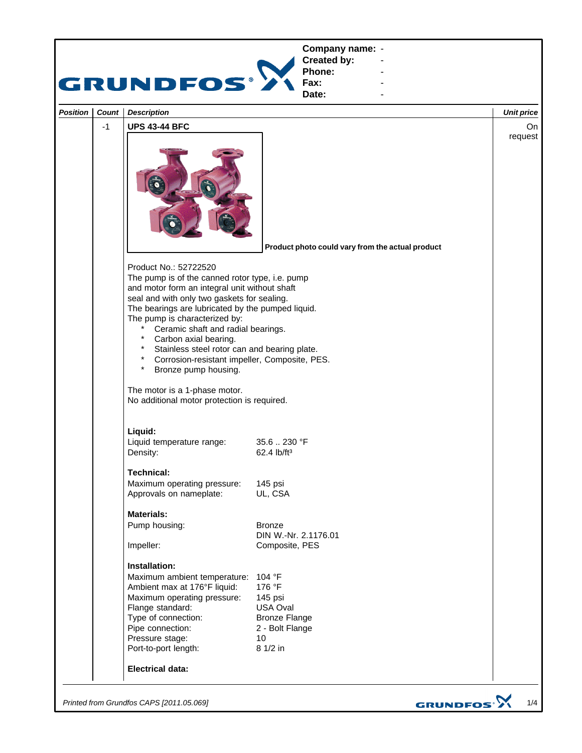

*Printed from Grundfos CAPS [2011.05.069]*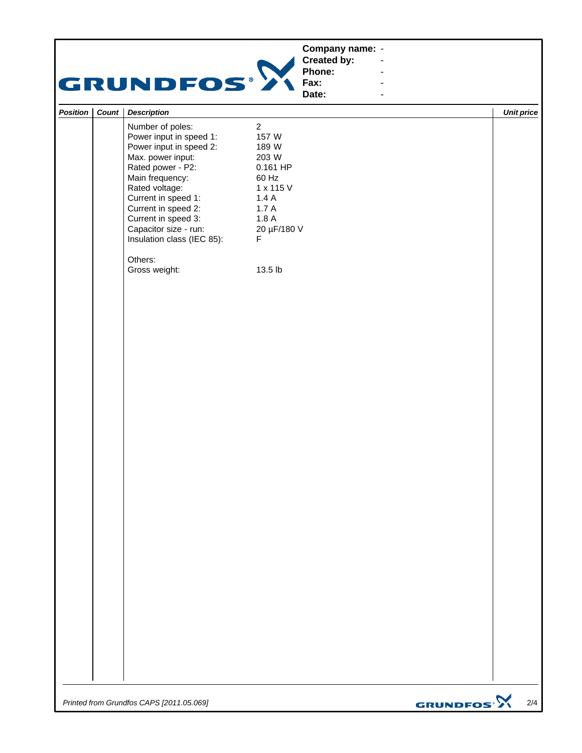*Printed from Grundfos CAPS [2011.05.069]*

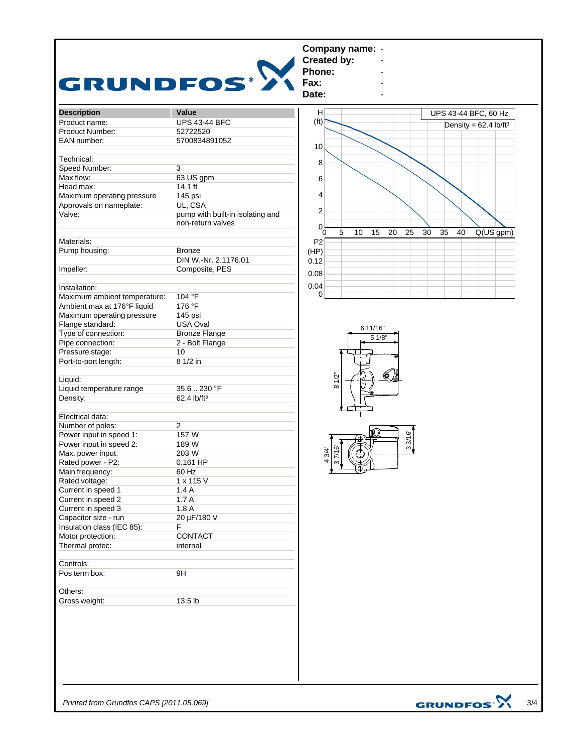|                                 | Company name: -<br>Created by:                                                                                                                                                                                                                                                                                                                                                                                      |
|---------------------------------|---------------------------------------------------------------------------------------------------------------------------------------------------------------------------------------------------------------------------------------------------------------------------------------------------------------------------------------------------------------------------------------------------------------------|
|                                 |                                                                                                                                                                                                                                                                                                                                                                                                                     |
|                                 | Phone:                                                                                                                                                                                                                                                                                                                                                                                                              |
|                                 | Fax:                                                                                                                                                                                                                                                                                                                                                                                                                |
|                                 | Date:                                                                                                                                                                                                                                                                                                                                                                                                               |
|                                 |                                                                                                                                                                                                                                                                                                                                                                                                                     |
|                                 | н<br>UPS 43-44 BFC, 60 Hz                                                                                                                                                                                                                                                                                                                                                                                           |
|                                 | (f <sup>t</sup> )<br>Density = $62.4$ lb/ft <sup>3</sup>                                                                                                                                                                                                                                                                                                                                                            |
|                                 |                                                                                                                                                                                                                                                                                                                                                                                                                     |
|                                 | 10                                                                                                                                                                                                                                                                                                                                                                                                                  |
|                                 |                                                                                                                                                                                                                                                                                                                                                                                                                     |
|                                 | 8                                                                                                                                                                                                                                                                                                                                                                                                                   |
|                                 |                                                                                                                                                                                                                                                                                                                                                                                                                     |
|                                 | 6                                                                                                                                                                                                                                                                                                                                                                                                                   |
|                                 |                                                                                                                                                                                                                                                                                                                                                                                                                     |
|                                 | 4                                                                                                                                                                                                                                                                                                                                                                                                                   |
|                                 | $\overline{\mathbf{c}}$                                                                                                                                                                                                                                                                                                                                                                                             |
|                                 |                                                                                                                                                                                                                                                                                                                                                                                                                     |
| non-return valves<br>Materials: | 0                                                                                                                                                                                                                                                                                                                                                                                                                   |
|                                 | 5<br>10<br>15<br>20<br>30<br>Q(US gpm)<br>25<br>35<br>40<br>Ō.                                                                                                                                                                                                                                                                                                                                                      |
|                                 | P <sub>2</sub>                                                                                                                                                                                                                                                                                                                                                                                                      |
| <b>Bronze</b>                   | (HP)                                                                                                                                                                                                                                                                                                                                                                                                                |
| DIN W.-Nr. 2.1176.01            | 0.12                                                                                                                                                                                                                                                                                                                                                                                                                |
| Composite, PES                  |                                                                                                                                                                                                                                                                                                                                                                                                                     |
|                                 | 0.08                                                                                                                                                                                                                                                                                                                                                                                                                |
|                                 | 0.04                                                                                                                                                                                                                                                                                                                                                                                                                |
| 104 °F                          | 0                                                                                                                                                                                                                                                                                                                                                                                                                   |
|                                 |                                                                                                                                                                                                                                                                                                                                                                                                                     |
|                                 |                                                                                                                                                                                                                                                                                                                                                                                                                     |
|                                 |                                                                                                                                                                                                                                                                                                                                                                                                                     |
|                                 | 6 11/16"                                                                                                                                                                                                                                                                                                                                                                                                            |
|                                 | 5 1/8"                                                                                                                                                                                                                                                                                                                                                                                                              |
|                                 |                                                                                                                                                                                                                                                                                                                                                                                                                     |
|                                 |                                                                                                                                                                                                                                                                                                                                                                                                                     |
|                                 |                                                                                                                                                                                                                                                                                                                                                                                                                     |
|                                 | $\bullet$                                                                                                                                                                                                                                                                                                                                                                                                           |
|                                 | 81/2"                                                                                                                                                                                                                                                                                                                                                                                                               |
|                                 |                                                                                                                                                                                                                                                                                                                                                                                                                     |
|                                 |                                                                                                                                                                                                                                                                                                                                                                                                                     |
|                                 |                                                                                                                                                                                                                                                                                                                                                                                                                     |
|                                 |                                                                                                                                                                                                                                                                                                                                                                                                                     |
|                                 |                                                                                                                                                                                                                                                                                                                                                                                                                     |
|                                 | ⊕.                                                                                                                                                                                                                                                                                                                                                                                                                  |
|                                 | 33/16"<br>37/16"                                                                                                                                                                                                                                                                                                                                                                                                    |
|                                 | 3/4"<br>⊕<br>4                                                                                                                                                                                                                                                                                                                                                                                                      |
|                                 | $\overline{ }$                                                                                                                                                                                                                                                                                                                                                                                                      |
|                                 | $\overline{\mathbb{C}}$                                                                                                                                                                                                                                                                                                                                                                                             |
|                                 |                                                                                                                                                                                                                                                                                                                                                                                                                     |
|                                 |                                                                                                                                                                                                                                                                                                                                                                                                                     |
|                                 |                                                                                                                                                                                                                                                                                                                                                                                                                     |
| 1.8A                            |                                                                                                                                                                                                                                                                                                                                                                                                                     |
| 20 µF/180 V                     |                                                                                                                                                                                                                                                                                                                                                                                                                     |
|                                 |                                                                                                                                                                                                                                                                                                                                                                                                                     |
| F.                              |                                                                                                                                                                                                                                                                                                                                                                                                                     |
| CONTACT                         |                                                                                                                                                                                                                                                                                                                                                                                                                     |
| internal                        |                                                                                                                                                                                                                                                                                                                                                                                                                     |
|                                 |                                                                                                                                                                                                                                                                                                                                                                                                                     |
|                                 |                                                                                                                                                                                                                                                                                                                                                                                                                     |
|                                 |                                                                                                                                                                                                                                                                                                                                                                                                                     |
| 9H                              |                                                                                                                                                                                                                                                                                                                                                                                                                     |
|                                 |                                                                                                                                                                                                                                                                                                                                                                                                                     |
|                                 | GRUNDFOS <sup>.</sup><br>Value<br><b>UPS 43-44 BFC</b><br>52722520<br>5700834891052<br>3<br>63 US gpm<br>$14.1$ ft<br>145 psi<br>UL, CSA<br>pump with built-in isolating and<br>176 °F<br>145 psi<br>USA Oval<br><b>Bronze Flange</b><br>2 - Bolt Flange<br>10<br>8 1/2 in<br>35.6.230 °F<br>62.4 lb/ft <sup>3</sup><br>$\overline{2}$<br>157 W<br>189 W<br>203 W<br>0.161 HP<br>60 Hz<br>1 x 115 V<br>1.4A<br>1.7A |

*Printed from Grundfos CAPS [2011.05.069]*

GRUNDFOS $\mathbf{\hat{X}}_{3/4}$